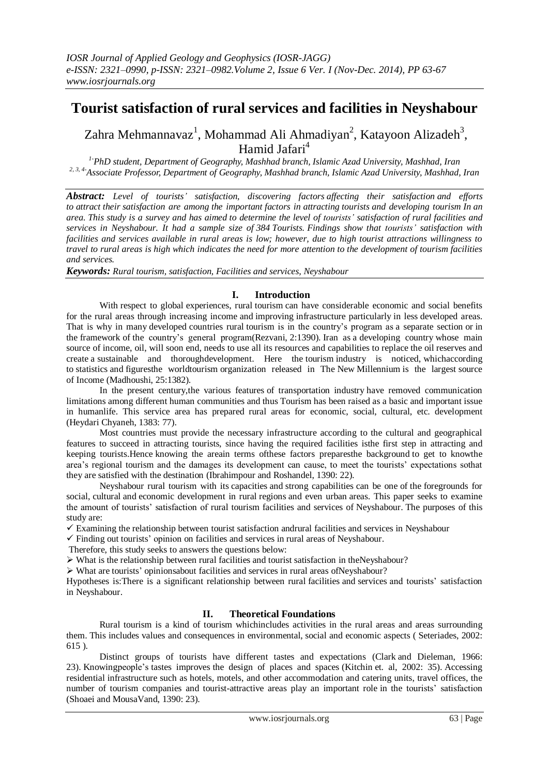# **Tourist satisfaction of rural services and facilities in Neyshabour**

Zahra Mehmannavaz<sup>1</sup>, Mohammad Ali Ahmadiyan<sup>2</sup>, Katayoon Alizadeh<sup>3</sup>, Hamid Jafari<sup>4</sup>

*1-PhD student, Department of Geography, Mashhad branch, Islamic Azad University, Mashhad, Iran 2, 3, 4-Associate Professor, Department of Geography, Mashhad branch, Islamic Azad University, Mashhad, Iran*

*Abstract: Level of tourists' satisfaction, discovering factors affecting their satisfaction and efforts to attract their satisfaction are among the important factors in attracting tourists and developing tourism In an area. This study is a survey and has aimed to determine the level of tourists' satisfaction of rural facilities and services in Neyshabour. It had a sample size of 384 Tourists. Findings show that tourists' satisfaction with facilities and services available in rural areas is low; however, due to high tourist attractions willingness to travel to rural areas is high which indicates the need for more attention to the development of tourism facilities and services.*

*Keywords: Rural tourism, satisfaction, Facilities and services, Neyshabour*

## **I. Introduction**

With respect to global experiences, rural tourism can have considerable economic and social benefits for the rural areas through increasing income and improving infrastructure particularly in less developed areas. That is why in many developed countries rural tourism is in the country's program as a separate section or in the framework of the country's general program(Rezvani, 2:1390). Iran as a developing country whose main source of income, oil, will soon end, needs to use all its resources and capabilities to replace the oil reserves and create a sustainable and thoroughdevelopment. Here the tourism industry is noticed, whichaccording to statistics and figuresthe worldtourism organization released in The New Millennium is the largest source of Income (Madhoushi, 25:1382).

In the present century,the various features of transportation industry have removed communication limitations among different human communities and thus Tourism has been raised as a basic and important issue in humanlife. This service area has prepared rural areas for economic, social, cultural, etc. development (Heydari Chyaneh, 1383: 77).

Most countries must provide the necessary infrastructure according to the cultural and geographical features to succeed in attracting tourists, since having the required facilities isthe first step in attracting and keeping tourists.Hence knowing the areain terms ofthese factors preparesthe background to get to knowthe area's regional tourism and the damages its development can cause, to meet the tourists' expectations sothat they are satisfied with the destination (Ibrahimpour and Roshandel, 1390: 22).

Neyshabour rural tourism with its capacities and strong capabilities can be one of the foregrounds for social, cultural and economic development in rural regions and even urban areas. This paper seeks to examine the amount of tourists' satisfaction of rural tourism facilities and services of Neyshabour. The purposes of this study are:

 $\checkmark$  Examining the relationship between tourist satisfaction andrural facilities and services in Neyshabour

 $\checkmark$  Finding out tourists' opinion on facilities and services in rural areas of Neyshabour.

Therefore, this study seeks to answers the questions below:

 $\triangleright$  What is the relationship between rural facilities and tourist satisfaction in theNeyshabour?

 $\triangleright$  What are tourists' opinionsabout facilities and services in rural areas of Neyshabour?

Hypotheses is:There is a significant relationship between rural facilities and services and tourists' satisfaction in Neyshabour.

# **II. Theoretical Foundations**

Rural tourism is a kind of tourism whichincludes activities in the rural areas and areas surrounding them. This includes values and consequences in environmental, social and economic aspects ( Seteriades, 2002: 615 ).

Distinct groups of tourists have different tastes and expectations (Clark and Dieleman, 1966: 23). Knowingpeople's tastes improves the design of places and spaces (Kitchin et. al, 2002: 35). Accessing residential infrastructure such as hotels, motels, and other accommodation and catering units, travel offices, the number of tourism companies and tourist-attractive areas play an important role in the tourists' satisfaction (Shoaei and MousaVand, 1390: 23).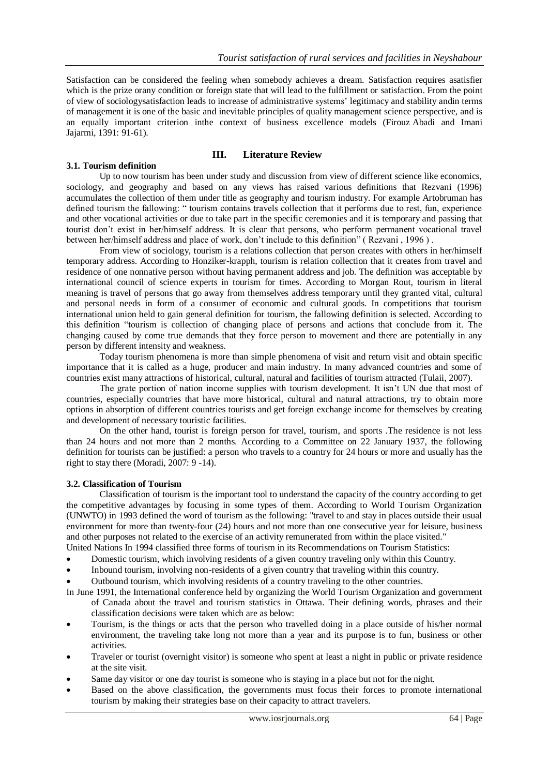Satisfaction can be considered the feeling when somebody achieves a dream. Satisfaction requires asatisfier which is the prize orany condition or foreign state that will lead to the fulfillment or satisfaction. From the point of view of sociologysatisfaction leads to increase of administrative systems' legitimacy and stability andin terms of management it is one of the basic and inevitable principles of quality management science perspective, and is an equally important criterion inthe context of business excellence models (Firouz Abadi and Imani Jajarmi, 1391: 91-61).

#### **3.1. Tourism definition**

#### **III. Literature Review**

Up to now tourism has been under study and discussion from view of different science like economics, sociology, and geography and based on any views has raised various definitions that Rezvani (1996) accumulates the collection of them under title as geography and tourism industry. For example Artobruman has defined tourism the fallowing: " tourism contains travels collection that it performs due to rest, fun, experience and other vocational activities or due to take part in the specific ceremonies and it is temporary and passing that tourist don't exist in her/himself address. It is clear that persons, who perform permanent vocational travel between her/himself address and place of work, don't include to this definition" ( Rezvani , 1996 ) .

From view of sociology, tourism is a relations collection that person creates with others in her/himself temporary address. According to Honziker-krapph, tourism is relation collection that it creates from travel and residence of one nonnative person without having permanent address and job. The definition was acceptable by international council of science experts in tourism for times. According to Morgan Rout, tourism in literal meaning is travel of persons that go away from themselves address temporary until they granted vital, cultural and personal needs in form of a consumer of economic and cultural goods. In competitions that tourism international union held to gain general definition for tourism, the fallowing definition is selected. According to this definition "tourism is collection of changing place of persons and actions that conclude from it. The changing caused by come true demands that they force person to movement and there are potentially in any person by different intensity and weakness.

Today tourism phenomena is more than simple phenomena of visit and return visit and obtain specific importance that it is called as a huge, producer and main industry. In many advanced countries and some of countries exist many attractions of historical, cultural, natural and facilities of tourism attracted (Tulaii, 2007).

The grate portion of nation income supplies with tourism development. It isn't UN due that most of countries, especially countries that have more historical, cultural and natural attractions, try to obtain more options in absorption of different countries tourists and get foreign exchange income for themselves by creating and development of necessary touristic facilities.

On the other hand, tourist is foreign person for travel, tourism, and sports .The residence is not less than 24 hours and not more than 2 months. According to a Committee on 22 January 1937, the following definition for tourists can be justified: a person who travels to a country for 24 hours or more and usually has the right to stay there (Moradi, 2007: 9 -14).

#### **3.2. Classification of Tourism**

Classification of tourism is the important tool to understand the capacity of the country according to get the competitive advantages by focusing in some types of them. According to World Tourism Organization (UNWTO) in 1993 defined the word of tourism as the following: "travel to and stay in places outside their usual environment for more than twenty-four (24) hours and not more than one consecutive year for leisure, business and other purposes not related to the exercise of an activity remunerated from within the place visited."

- United Nations In 1994 classified three forms of tourism in its Recommendations on Tourism Statistics:
- Domestic tourism, which involving residents of a given country traveling only within this Country.
- Inbound tourism, involving non-residents of a given country that traveling within this country.
- Outbound tourism, which involving residents of a country traveling to the other countries.
- In June 1991, the International conference held by organizing the World Tourism Organization and government of Canada about the travel and tourism statistics in Ottawa. Their defining words, phrases and their classification decisions were taken which are as below:
- Tourism, is the things or acts that the person who travelled doing in a place outside of his/her normal environment, the traveling take long not more than a year and its purpose is to fun, business or other activities.
- Traveler or tourist (overnight visitor) is someone who spent at least a night in public or private residence at the site visit.
- Same day visitor or one day tourist is someone who is staying in a place but not for the night.
- Based on the above classification, the governments must focus their forces to promote international tourism by making their strategies base on their capacity to attract travelers.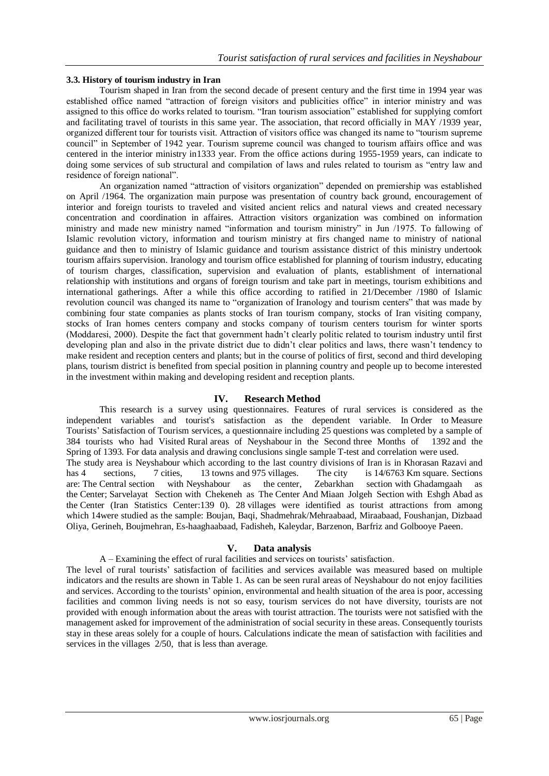## **3.3. History of tourism industry in Iran**

Tourism shaped in Iran from the second decade of present century and the first time in 1994 year was established office named "attraction of foreign visitors and publicities office" in interior ministry and was assigned to this office do works related to tourism. "Iran tourism association" established for supplying comfort and facilitating travel of tourists in this same year. The association, that record officially in MAY /1939 year, organized different tour for tourists visit. Attraction of visitors office was changed its name to "tourism supreme council" in September of 1942 year. Tourism supreme council was changed to tourism affairs office and was centered in the interior ministry in1333 year. From the office actions during 1955-1959 years, can indicate to doing some services of sub structural and compilation of laws and rules related to tourism as "entry law and residence of foreign national".

An organization named "attraction of visitors organization" depended on premiership was established on April /1964. The organization main purpose was presentation of country back ground, encouragement of interior and foreign tourists to traveled and visited ancient relics and natural views and created necessary concentration and coordination in affaires. Attraction visitors organization was combined on information ministry and made new ministry named "information and tourism ministry" in Jun /1975. To fallowing of Islamic revolution victory, information and tourism ministry at firs changed name to ministry of national guidance and then to ministry of Islamic guidance and tourism assistance district of this ministry undertook tourism affairs supervision. Iranology and tourism office established for planning of tourism industry, educating of tourism charges, classification, supervision and evaluation of plants, establishment of international relationship with institutions and organs of foreign tourism and take part in meetings, tourism exhibitions and international gatherings. After a while this office according to ratified in 21/December /1980 of Islamic revolution council was changed its name to "organization of Iranology and tourism centers" that was made by combining four state companies as plants stocks of Iran tourism company, stocks of Iran visiting company, stocks of Iran homes centers company and stocks company of tourism centers tourism for winter sports (Moddaresi, 2000). Despite the fact that government hadn't clearly politic related to tourism industry until first developing plan and also in the private district due to didn't clear politics and laws, there wasn't tendency to make resident and reception centers and plants; but in the course of politics of first, second and third developing plans, tourism district is benefited from special position in planning country and people up to become interested in the investment within making and developing resident and reception plants.

## **IV. Research Method**

This research is a survey using questionnaires. Features of rural services is considered as the independent variables and tourist's satisfaction as the dependent variable. In Order to Measure Tourists' Satisfaction of Tourism services, a questionnaire including 25 questions was completed by a sample of 384 tourists who had Visited Rural areas of Neyshabour in the Second three Months of 1392 and the Spring of 1393. For data analysis and drawing conclusions single sample T-test and correlation were used. The study area is Neyshabour which according to the last country divisions of Iran is in Khorasan Razavi and has 4 sections, 7 cities, 13 towns and 975 villages. The city is 14/6763 Km square. Sections are: The Central section with Neyshabour as the center, Zebarkhan section with Ghadamgaah as the Center; Sarvelayat Section with Chekeneh as The Center And Miaan Jolgeh Section with Eshgh Abad as the Center (Iran Statistics Center:139 0). 28 villages were identified as tourist attractions from among which 14were studied as the sample: Boujan, Baqi, Shadmehrak/Mehraabaad, Miraabaad, Foushanjan, Dizbaad Oliya, Gerineh, Boujmehran, Es-haaghaabaad, Fadisheh, Kaleydar, Barzenon, Barfriz and Golbooye Paeen.

## **V. Data analysis**

## A – Examining the effect of rural facilities and services on tourists' satisfaction.

The level of rural tourists' satisfaction of facilities and services available was measured based on multiple indicators and the results are shown in Table 1. As can be seen rural areas of Neyshabour do not enjoy facilities and services. According to the tourists' opinion, environmental and health situation of the area is poor, accessing facilities and common living needs is not so easy, tourism services do not have diversity, tourists are not provided with enough information about the areas with tourist attraction. The tourists were not satisfied with the management asked for improvement of the administration of social security in these areas. Consequently tourists stay in these areas solely for a couple of hours. Calculations indicate the mean of satisfaction with facilities and services in the villages 2/50, that is less than average.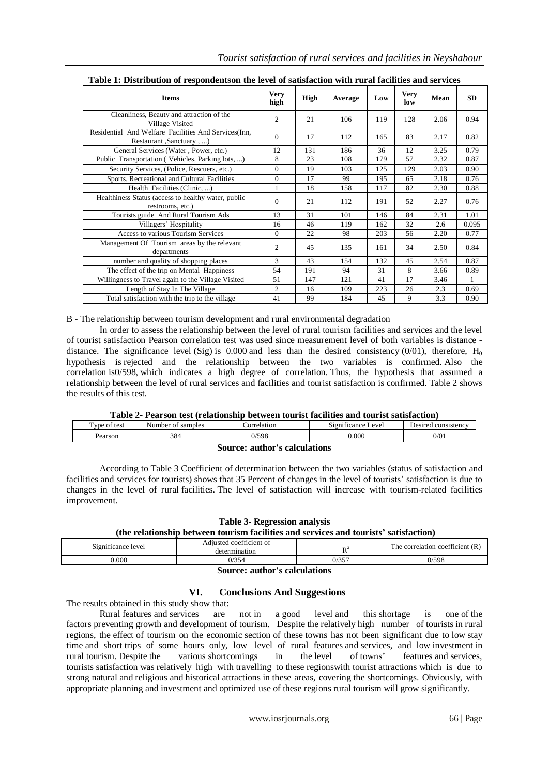| таже трансподной от гевроидения и не тетег от запядаетой этий гагантинея ана вет теся |                     |             |         |     |                    |      |              |
|---------------------------------------------------------------------------------------|---------------------|-------------|---------|-----|--------------------|------|--------------|
| <b>Items</b>                                                                          | <b>Very</b><br>high | <b>High</b> | Average | Low | <b>Very</b><br>low | Mean | SD           |
| Cleanliness, Beauty and attraction of the<br>Village Visited                          | 2                   | 21          | 106     | 119 | 128                | 2.06 | 0.94         |
| Residential And Welfare Facilities And Services (Inn,<br>Restaurant, Sanctuary,       | $\Omega$            | 17          | 112     | 165 | 83                 | 2.17 | 0.82         |
| General Services (Water, Power, etc.)                                                 | 12                  | 131         | 186     | 36  | 12                 | 3.25 | 0.79         |
| Public Transportation (Vehicles, Parking lots, )                                      | 8                   | 23          | 108     | 179 | 57                 | 2.32 | 0.87         |
| Security Services, (Police, Rescuers, etc.)                                           | $\Omega$            | 19          | 103     | 125 | 129                | 2.03 | 0.90         |
| Sports, Recreational and Cultural Facilities                                          | $\mathbf{0}$        | 17          | 99      | 195 | 65                 | 2.18 | 0.76         |
| Health Facilities (Clinic, )                                                          | $\mathbf{1}$        | 18          | 158     | 117 | 82                 | 2.30 | 0.88         |
| Healthiness Status (access to healthy water, public<br>restrooms, etc.)               | $\Omega$            | 21          | 112     | 191 | 52                 | 2.27 | 0.76         |
| Tourists guide And Rural Tourism Ads                                                  | 13                  | 31          | 101     | 146 | 84                 | 2.31 | 1.01         |
| Villagers' Hospitality                                                                | 16                  | 46          | 119     | 162 | 32                 | 2.6  | 0.095        |
| Access to various Tourism Services                                                    | $\Omega$            | 22          | 98      | 203 | 56                 | 2.20 | 0.77         |
| Management Of Tourism areas by the relevant<br>departments                            | 2                   | 45          | 135     | 161 | 34                 | 2.50 | 0.84         |
| number and quality of shopping places                                                 | 3                   | 43          | 154     | 132 | 45                 | 2.54 | 0.87         |
| The effect of the trip on Mental Happiness                                            | 54                  | 191         | 94      | 31  | 8                  | 3.66 | 0.89         |
| Willingness to Travel again to the Village Visited                                    | 51                  | 147         | 121     | 41  | 17                 | 3.46 | $\mathbf{1}$ |
| Length of Stay In The Village                                                         | $\overline{c}$      | 16          | 109     | 223 | 26                 | 2.3  | 0.69         |
| Total satisfaction with the trip to the village                                       | 41                  | 99          | 184     | 45  | 9                  | 3.3  | 0.90         |

**Table 1: Distribution of respondentson the level of satisfaction with rural facilities and services**

B - The relationship between tourism development and rural environmental degradation

In order to assess the relationship between the level of rural tourism facilities and services and the level of tourist satisfaction Pearson correlation test was used since measurement level of both variables is distance distance. The significance level (Sig) is 0.000 and less than the desired consistency (0/01), therefore,  $H_0$ hypothesis is rejected and the relationship between the two variables is confirmed. Also the correlation is0/598, which indicates a high degree of correlation. Thus, the hypothesis that assumed a relationship between the level of rural services and facilities and tourist satisfaction is confirmed. Table 2 shows the results of this test.

## **Table 2- Pearson test (relationship between tourist facilities and tourist satisfaction)**

| .                     | .<br>.               | .<br>. | .           | .<br>.<br>.                                  |                     |  |
|-----------------------|----------------------|--------|-------------|----------------------------------------------|---------------------|--|
| Type of $\mu$<br>test | samples<br>Number of |        | :orrelation | $\cdot$<br>$\sim$ .<br>Level<br>Significance | Desired consistency |  |
| Pearson               | 384                  | 0/598  |             | 0.000                                        | 0/01                |  |
|                       |                      |        | -47         |                                              |                     |  |

| Source: author's calculations |  |  |  |  |  |
|-------------------------------|--|--|--|--|--|
|-------------------------------|--|--|--|--|--|

According to Table 3 Coefficient of determination between the two variables (status of satisfaction and facilities and services for tourists) shows that 35 Percent of changes in the level of tourists' satisfaction is due to changes in the level of rural facilities. The level of satisfaction will increase with tourism-related facilities improvement.

**Table 3- Regression analysis**

## **(the relationship between tourism facilities and services and tourists' satisfaction)**

| Significance level | Adjusted coefficient of<br>termination |       | The correlation coefficient (R) |
|--------------------|----------------------------------------|-------|---------------------------------|
| $0.000\,$          | 0/354                                  | 0/357 | 0/598                           |

**Source: author's calculations**

## **VI. Conclusions And Suggestions**

The results obtained in this study show that:

Rural features and services are not in a good level and this shortage is one of the factors preventing growth and development of tourism. Despite the relatively high number of tourists in rural regions, the effect of tourism on the economic section of these towns has not been significant due to low stay time and short trips of some hours only, low level of rural features and services, and low investment in rural tourism. Despite the various shortcomings in the level of towns' features and services, tourists satisfaction was relatively high with travelling to these regionswith tourist attractions which is due to strong natural and religious and historical attractions in these areas, covering the shortcomings. Obviously, with appropriate planning and investment and optimized use of these regions rural tourism will grow significantly.